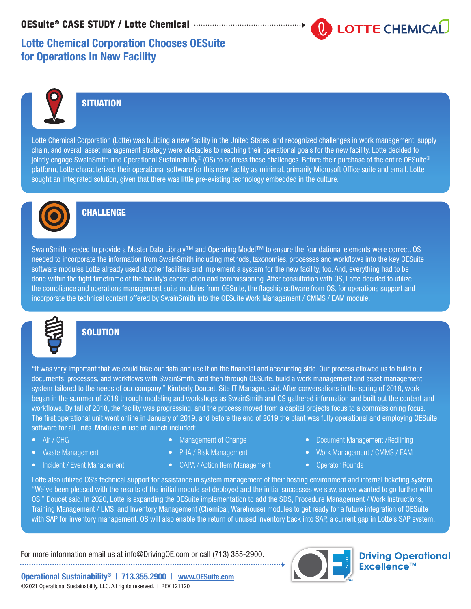# **LOTTE CHEMICAL**

# Lotte Chemical Corporation Chooses OESuite for Operations In New Facility



## **SITUATION**

Lotte Chemical Corporation (Lotte) was building a new facility in the United States, and recognized challenges in work management, supply chain, and overall asset management strategy were obstacles to reaching their operational goals for the new facility. Lotte decided to jointly engage SwainSmith and Operational Sustainability® (OS) to address these challenges. Before their purchase of the entire OESuite® platform, Lotte characterized their operational software for this new facility as minimal, primarily Microsoft Office suite and email. Lotte sought an integrated solution, given that there was little pre-existing technology embedded in the culture.



## **CHALLENGE**

SwainSmith needed to provide a Master Data Library™ and Operating Model™ to ensure the foundational elements were correct. OS needed to incorporate the information from SwainSmith including methods, taxonomies, processes and workflows into the key OESuite software modules Lotte already used at other facilities and implement a system for the new facility, too. And, everything had to be done within the tight timeframe of the facility's construction and commissioning. After consultation with OS, Lotte decided to utilize the compliance and operations management suite modules from OESuite, the flagship software from OS, for operations support and incorporate the technical content offered by SwainSmith into the OESuite Work Management / CMMS / EAM module.



### **SOLUTION**

"It was very important that we could take our data and use it on the financial and accounting side. Our process allowed us to build our documents, processes, and workflows with SwainSmith, and then through OESuite, build a work management and asset management system tailored to the needs of our company," Kimberly Doucet, Site IT Manager, said. After conversations in the spring of 2018, work began in the summer of 2018 through modeling and workshops as SwainSmith and OS gathered information and built out the content and workflows. By fall of 2018, the facility was progressing, and the process moved from a capital projects focus to a commissioning focus. The first operational unit went online in January of 2019, and before the end of 2019 the plant was fully operational and employing OESuite software for all units. Modules in use at launch included:

- Air / GHG
- Waste Management
- Incident / Event Management
- Management of Change
- PHA / Risk Management
- CAPA / Action Item Management
- Document Management /Redlining
- Work Management / CMMS / EAM
- Operator Rounds

Lotte also utilized OS's technical support for assistance in system management of their hosting environment and internal ticketing system. "We've been pleased with the results of the initial module set deployed and the initial successes we saw, so we wanted to go further with OS," Doucet said. In 2020, Lotte is expanding the OESuite implementation to add the SDS, Procedure Management / Work Instructions, Training Management / LMS, and Inventory Management (Chemical, Warehouse) modules to get ready for a future integration of OESuite with SAP for inventory management. OS will also enable the return of unused inventory back into SAP, a current gap in Lotte's SAP system.

For more information email us at  $\underline{\text{info@DivingOE.com}}$  or call (713) 355-2900.



**Driving Operational** Excellence™